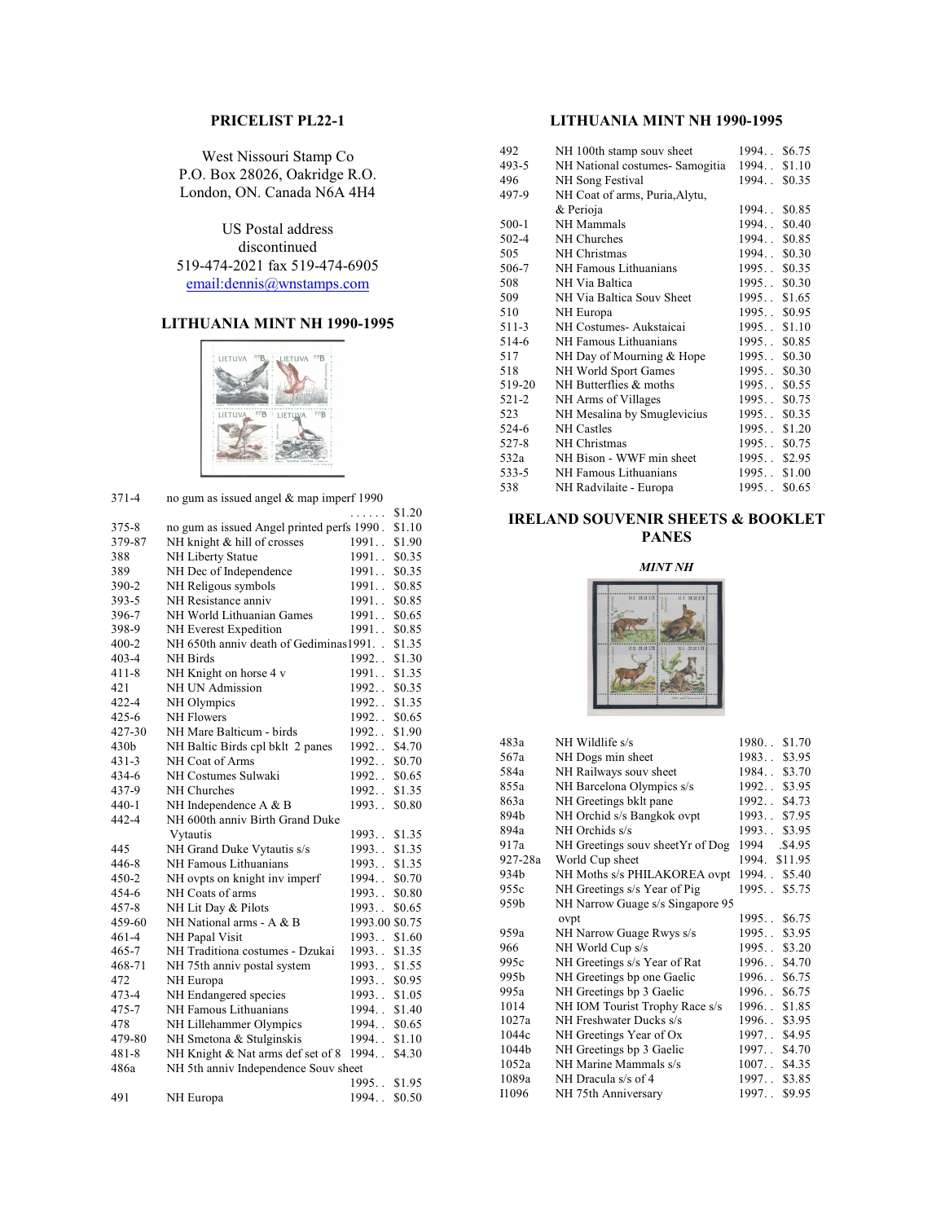# **PRICELIST PL22-1**

West Nissouri Stamp Co P.O. Box 28026, Oakridge R.O. London, ON. Canada N6A 4H4

US Postal address discontinued 519-474-2021 fax 519-474-6905 [email:dennis@wnstamps.com](mailto:email:dennis@wnstamps.com)

# **LITHUANIA MINT NH 1990-1995**



| $371 - 4$        | no gum as issued angel & map imperf 1990   |                 |
|------------------|--------------------------------------------|-----------------|
|                  |                                            | \$1.20<br>.     |
| $375 - 8$        | no gum as issued Angel printed perfs 1990. | \$1.10          |
| 379-87           | NH knight & hill of crosses                | 1991.<br>\$1.90 |
| 388              | NH Liberty Statue                          | 1991<br>\$0.35  |
| 389              | NH Dec of Independence                     | 1991.<br>\$0.35 |
| 390-2            | NH Religous symbols                        | 1991<br>\$0.85  |
| $393 - 5$        | NH Resistance anniv                        | 1991<br>\$0.85  |
| 396-7            | NH World Lithuanian Games                  | 1991<br>\$0.65  |
| 398-9            | NH Everest Expedition                      | 1991<br>\$0.85  |
| $400 - 2$        | NH 650th anniv death of Gediminas1991      | \$1.35          |
| $403 - 4$        | NH Birds                                   | 1992<br>\$1.30  |
| $411 - 8$        | NH Knight on horse 4 v                     | 1991<br>\$1.35  |
| 421              | <b>NH UN Admission</b>                     | 1992<br>\$0.35  |
| $422 - 4$        | NH Olympics                                | 1992<br>\$1.35  |
| $425 - 6$        | <b>NH Flowers</b>                          | 1992<br>\$0.65  |
| 427-30           | NH Mare Balticum - birds                   | 1992<br>\$1.90  |
| 430 <sub>b</sub> | NH Baltic Birds cpl bklt 2 panes           | 1992<br>\$4.70  |
| $431 - 3$        | NH Coat of Arms                            | 1992<br>\$0.70  |
| 434-6            | NH Costumes Sulwaki                        | 1992<br>\$0.65  |
| 437-9            | NH Churches                                | 1992<br>\$1.35  |
| $440-1$          | NH Independence A & B                      | 1993<br>\$0.80  |
| 442-4            | NH 600th anniv Birth Grand Duke            |                 |
|                  | Vytautis                                   | 1993<br>\$1.35  |
| 445              | NH Grand Duke Vytautis s/s                 | 1993<br>\$1.35  |
| 446-8            | NH Famous Lithuanians                      | 1993<br>\$1.35  |
| $450 - 2$        | NH ovpts on knight inv imperf              | 1994<br>\$0.70  |
| 454-6            | NH Coats of arms                           | 1993<br>\$0.80  |
| $457 - 8$        | NH Lit Day & Pilots                        | 1993<br>\$0.65  |
| 459-60           | NH National arms - A & B                   | 1993.00 \$0.75  |
| $461 - 4$        | NH Papal Visit                             | 1993<br>\$1.60  |
| $465 - 7$        | NH Traditiona costumes - Dzukai            | 1993<br>\$1.35  |
| 468-71           | NH 75th anniv postal system                | 1993<br>\$1.55  |
| 472              | NH Europa                                  | 1993<br>\$0.95  |
| 473-4            | NH Endangered species                      | 1993<br>\$1.05  |
| 475-7            | NH Famous Lithuanians                      | 1994<br>\$1.40  |
| 478              | NH Lillehammer Olympics                    | 1994<br>\$0.65  |
| 479-80           | NH Smetona & Stulginskis                   | 1994<br>\$1.10  |
| $481 - 8$        | NH Knight & Nat arms def set of 8          | 1994<br>\$4.30  |
| 486a             | NH 5th anniv Independence Souv sheet       |                 |
|                  |                                            | 1995<br>\$1.95  |
| 491              | NH Europa                                  | 1994<br>\$0.50  |

# **LITHUANIA MINT NH 1990-1995**

| 492    | NH 100th stamp souv sheet      | 1994., \$6.75    |        |
|--------|--------------------------------|------------------|--------|
| 493-5  | NH National costumes-Samogitia | 1994. \$1.10     |        |
| 496    | NH Song Festival               | 1994             | \$0.35 |
| 497-9  | NH Coat of arms, Puria, Alytu, |                  |        |
|        | & Perioja                      | $1994.$ .        | \$0.85 |
| 500-1  | <b>NH</b> Mammals              | 1994             | \$0.40 |
| 502-4  | NH Churches                    | 1994             | \$0.85 |
| 505    | NH Christmas                   | 1994. \$0.30     |        |
| 506-7  | NH Famous Lithuanians          | 1995. \$0.35     |        |
| 508    | NH Via Baltica                 | $1995.$ . \$0.30 |        |
| 509    | NH Via Baltica Souv Sheet      | 1995. \$1.65     |        |
| 510    | NH Europa                      | 1995             | \$0.95 |
| 511-3  | NH Costumes- Aukstaicai        | 1995             | \$1.10 |
| 514-6  | NH Famous Lithuanians          | 1995             | \$0.85 |
| 517    | NH Day of Mourning & Hope      | 1995             | \$0.30 |
| 518    | NH World Sport Games           | $1995.$ .        | \$0.30 |
| 519-20 | NH Butterflies & moths         | 1995             | \$0.55 |
| 521-2  | NH Arms of Villages            | 1995             | \$0.75 |
| 523    | NH Mesalina by Smuglevicius    | 1995             | \$0.35 |
| 524-6  | <b>NH</b> Castles              | 1995. \$1.20     |        |
| 527-8  | NH Christmas                   | 1995. \$0.75     |        |
| 532a   | NH Bison - WWF min sheet       | 1995 \$2.95      |        |
| 533-5  | NH Famous Lithuanians          | 1995             | \$1.00 |
| 538    | NH Radvilaite - Europa         | 1995             | \$0.65 |
|        |                                |                  |        |

## **IRELAND SOUVENIR SHEETS & BOOKLET PANES**

*MINT NH*



| 483a    | NH Wildlife s/s                  | \$1.70<br>1980      |
|---------|----------------------------------|---------------------|
| 567a    | NH Dogs min sheet                | 1983<br>\$3.95      |
| 584a    | NH Railways souv sheet           | \$3.70<br>1984. .   |
| 855a    | NH Barcelona Olympics s/s        | \$3.95<br>1992      |
| 863a    | NH Greetings bklt pane           | \$4.73<br>1992      |
| 894b    | NH Orchid s/s Bangkok ovpt       | \$7.95<br>1993      |
| 894a    | NH Orchids s/s                   | \$3.95<br>1993      |
| 917a    | NH Greetings souv sheetYr of Dog | 1994<br>.\$4.95     |
| 927-28a | World Cup sheet                  | \$11.95<br>1994.    |
| 934b    | NH Moths s/s PHILAKOREA ovpt     | 1994. \$5.40        |
| 955c    | NH Greetings s/s Year of Pig     | 1995. \$5.75        |
| 959b    | NH Narrow Guage s/s Singapore 95 |                     |
|         | ovpt                             | \$6.75<br>1995      |
| 959a    | NH Narrow Guage Rwys s/s         | \$3.95<br>1995      |
| 966     | NH World Cup s/s                 | \$3.20<br>1995      |
| 995c    | NH Greetings s/s Year of Rat     | \$4.70<br>$1996.$ . |
| 995b    | NH Greetings bp one Gaelic       | \$6.75<br>1996      |
| 995a    | NH Greetings bp 3 Gaelic         | \$6.75<br>$1996.$ . |
| 1014    | NH IOM Tourist Trophy Race s/s   | \$1.85<br>1996      |
| 1027a   | NH Freshwater Ducks s/s          | 1996<br>\$3.95      |
| 1044c   | NH Greetings Year of Ox          | \$4.95<br>$1997.$ . |
| 1044b   | NH Greetings bp 3 Gaelic         | \$4.70<br>1997      |
| 1052a   | NH Marine Mammals s/s            | \$4.35<br>$1007.$ . |
| 1089a   | NH Dracula s/s of 4              | 1997<br>\$3.85      |
| I1096   | NH 75th Anniversary              | \$9.95<br>1997      |
|         |                                  |                     |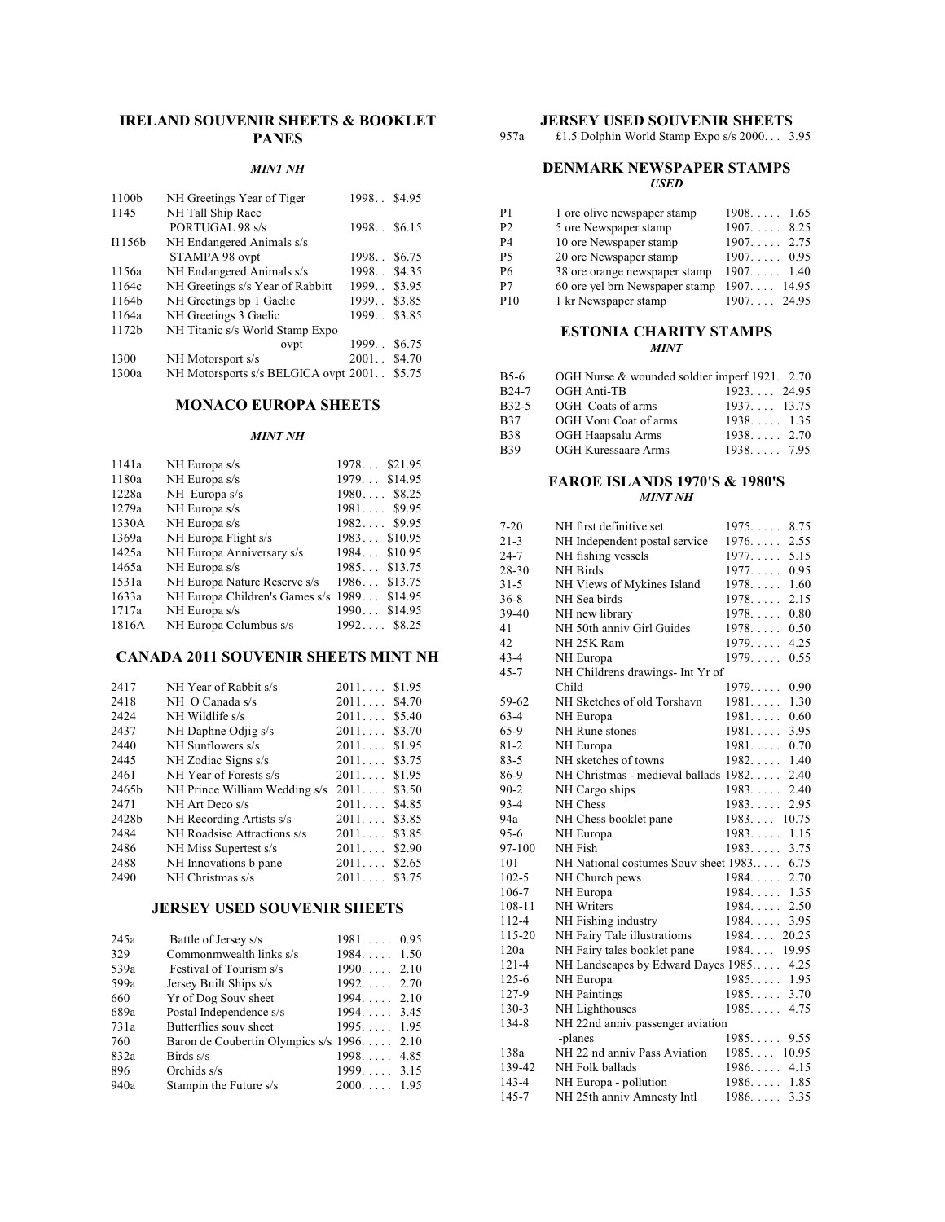## **IRELAND SOUVENIR SHEETS & BOOKLET PANES**

### *MINT NH*

| 1100b  | NH Greetings Year of Tiger           | 1998         | \$4.95 |
|--------|--------------------------------------|--------------|--------|
| 1145   | NH Tall Ship Race                    |              |        |
|        | PORTUGAL 98 s/s                      | 1998. \$6.15 |        |
| I1156b | NH Endangered Animals s/s            |              |        |
|        | STAMPA 98 ovpt                       | $1998.$ .    | \$6.75 |
| 1156a  | NH Endangered Animals s/s            | 1998         | \$4.35 |
| 1164c  | NH Greetings s/s Year of Rabbitt     | 1999         | \$3.95 |
| 1164b  | NH Greetings bp 1 Gaelic             | 1999         | \$3.85 |
| 1164a  | NH Greetings 3 Gaelic                | 1999         | \$3.85 |
| 1172b  | NH Titanic s/s World Stamp Expo      |              |        |
|        | ovpt                                 | 1999         | \$6.75 |
| 1300   | NH Motorsport s/s                    | 2001. \$4.70 |        |
| 1300a  | NH Motorsports s/s BELGICA ovpt 2001 |              | \$5.75 |

### **MONACO EUROPA SHEETS**

#### *MINT NH*

| 1141a | NH Europa s/s                               | $1978$ \$21.95  |
|-------|---------------------------------------------|-----------------|
| 1180a | NH Europa s/s                               | 1979 \$14.95    |
| 1228a | NH Europa s/s                               | $1980$ \$8.25   |
| 1279a | NH Europa s/s                               | $1981$ \$9.95   |
| 1330A | NH Europa s/s                               | $1982$ \$9.95   |
| 1369a | NH Europa Flight s/s                        | $1983$ \$10.95  |
| 1425a | NH Europa Anniversary s/s                   | $1984$ \$10.95  |
| 1465a | NH Europa s/s                               | $1985$ \$13.75  |
| 1531a | NH Europa Nature Reserve s/s                | $1986$ \$13.75  |
| 1633a | NH Europa Children's Games s/s 1989 \$14.95 |                 |
| 1717a | NH Europa s/s                               | \$14.95<br>1990 |
| 1816A | NH Europa Columbus s/s                      | $1992$ \$8.25   |
|       |                                             |                 |

# **CANADA 2011 SOUVENIR SHEETS MINT NH**

| 2417              | NH Year of Rabbit s/s         | 2011 | \$1.95 |
|-------------------|-------------------------------|------|--------|
| 2418              | $NH$ O Canada s/s             | 2011 | \$4.70 |
| 2424              | NH Wildlife s/s               | 2011 | \$5.40 |
| 2437              | NH Daphne Odjig s/s           | 2011 | \$3.70 |
| 2440              | NH Sunflowers s/s             | 2011 | \$1.95 |
| 2445              | NH Zodiac Signs s/s           | 2011 | \$3.75 |
| 2461              | NH Year of Forests s/s        | 2011 | \$1.95 |
| 2465 <sub>b</sub> | NH Prince William Wedding s/s | 2011 | \$3.50 |
| 2471              | NH Art Deco s/s               | 2011 | \$4.85 |
| 2428b             | NH Recording Artists s/s      | 2011 | \$3.85 |
| 2484              | NH Roadsise Attractions s/s   | 2011 | \$3.85 |
| 2486              | NH Miss Supertest s/s         | 2011 | \$2.90 |
| 2488              | NH Innovations b pane         | 2011 | \$2.65 |
| 2490              | NH Christmas s/s              | 2011 | \$3.75 |

### **JERSEY USED SOUVENIR SHEETS**

| 245a | Battle of Jersey s/s                        | $1981$ 0.95         |  |
|------|---------------------------------------------|---------------------|--|
| 329  | Commonmwealth links s/s                     | $1984$ 1.50         |  |
| 539a | Festival of Tourism s/s                     | $1990$ 2.10         |  |
| 599a | Jersey Built Ships s/s                      | $1992. \ldots 2.70$ |  |
| 660  | Yr of Dog Souv sheet                        | $1994$ 2.10         |  |
| 689a | Postal Independence s/s                     | $1994$ 3.45         |  |
| 731a | Butterflies souv sheet                      | $1995$ 1.95         |  |
| 760  | Baron de Coubertin Olympics s/s 1996.  2.10 |                     |  |
| 832a | Birds $s/s$                                 | $1998. \ldots$ 4.85 |  |
| 896  | Orchids s/s                                 | $1999$ 3.15         |  |
| 940a | Stampin the Future s/s                      | $2000$ 1.95         |  |

### **JERSEY USED SOUVENIR SHEETS**

957a £1.5 Dolphin World Stamp Expo s/s 2000. . . 3.95

#### **DENMARK NEWSPAPER STAMPS** *USED*

| P1              | 1 ore olive newspaper stamp    | $1908. \ldots 1.65$  |
|-----------------|--------------------------------|----------------------|
| P <sub>2</sub>  | 5 ore Newspaper stamp          | $1907$ 8.25          |
| P4              | 10 ore Newspaper stamp         | $1907. \ldots 2.75$  |
| P <sub>5</sub>  | 20 ore Newspaper stamp         | $1907. \ldots 0.95$  |
| P6              | 38 ore orange newspaper stamp  | $1907. \ldots 1.40$  |
| P7              | 60 ore yel brn Newspaper stamp | $1907. \ldots 14.95$ |
| P <sub>10</sub> | 1 kr Newspaper stamp           | $1907. \ldots 24.95$ |

### **ESTONIA CHARITY STAMPS** *MINT*

| B5-6               | OGH Nurse & wounded soldier imperf 1921. 2.70 |              |
|--------------------|-----------------------------------------------|--------------|
| B <sub>24</sub> -7 | OGH Anti-TB                                   | $1923$ 24.95 |
| B <sub>32</sub> -5 | OGH Coats of arms                             | $1937$ 13.75 |
| B37                | OGH Voru Coat of arms                         | 1938135      |
| <b>B38</b>         | OGH Haapsalu Arms                             | $1938$ 2.70  |
| B39                | <b>OGH Kuressaare Arms</b>                    | 1938795      |

#### **FAROE ISLANDS 1970'S & 1980'S** *MINT NH*

| 7-20      | NH first definitive set               | 1975<br>8.75             |
|-----------|---------------------------------------|--------------------------|
| $21 - 3$  | NH Independent postal service         | $1976. \ldots$<br>2.55   |
| $24 - 7$  | NH fishing vessels                    | $1977. \ldots$<br>5.15   |
| 28-30     | <b>NH</b> Birds                       | 1977<br>0.95             |
| $31 - 5$  | NH Views of Mykines Island            | $1978. \ldots$<br>1.60   |
| $36 - 8$  | NH Sea birds                          | $1978. \ldots$<br>2.15   |
| 39-40     | NH new library                        | 0.80<br>$1978. \ldots$   |
| 41        | NH 50th anniv Girl Guides             | $1978. \ldots$<br>0.50   |
| 42        | NH 25K Ram                            | 4.25<br>$1979. \ldots$   |
| $43 - 4$  | NH Europa                             | $1979. \ldots$<br>0.55   |
| $45 - 7$  | NH Childrens drawings- Int Yr of      |                          |
|           | Child                                 | 1979<br>0.90             |
| 59-62     | NH Sketches of old Torshavn           | 1981<br>1.30             |
| $63 - 4$  | NH Europa                             | $1981. \ldots$<br>0.60   |
| $65-9$    | NH Rune stones                        | 1981<br>3.95             |
| $81 - 2$  | NH Europa                             | 0.70<br>$1981. \ldots$ . |
| $83 - 5$  | NH sketches of towns                  | $1982. \ldots$<br>1.40   |
| 86-9      | NH Christmas - medieval ballads 1982. | 2.40                     |
| $90 - 2$  | NH Cargo ships                        | 1983<br>2.40             |
| $93 - 4$  | NH Chess                              | 1983<br>2.95             |
| 94a       | NH Chess booklet pane                 | 1983<br>10.75            |
| $95-6$    | NH Europa                             | 1983<br>1.15             |
| 97-100    | NH Fish                               | 3.75<br>1983             |
| 101       | NH National costumes Souv sheet 1983  | 6.75                     |
| $102 - 5$ | NH Church pews                        | $1984. \ldots$<br>2.70   |
| 106-7     | NH Europa                             | $1984. \ldots$<br>1.35   |
| 108-11    | <b>NH</b> Writers                     | $1984. \ldots$<br>2.50   |
| 112-4     | NH Fishing industry                   | $1984. \ldots$<br>3.95   |
| 115-20    | NH Fairy Tale illustratioms           | $1984. \ldots$<br>20.25  |
| 120a      | NH Fairy tales booklet pane           | 19.95<br>$1984. \ldots$  |
| $121 - 4$ | NH Landscapes by Edward Dayes 1985    | 4.25                     |
| $125 - 6$ | NH Europa                             | 1985<br>1.95             |
| 127-9     | <b>NH</b> Paintings                   | 1985<br>3.70             |
| $130-3$   | NH Lighthouses                        | 1985<br>4.75             |
| 134-8     | NH 22nd anniv passenger aviation      |                          |
|           | -planes                               | 1985<br>9.55             |
| 138a      | NH 22 nd anniv Pass Aviation          | $1985$ 10.95             |
| 139-42    | NH Folk ballads                       | $1986. \ldots$ .<br>4.15 |
| 143-4     | NH Europa - pollution                 | 1986 1.85                |
| 145-7     | NH 25th anniv Amnesty Intl            | $1986. \ldots$<br>3.35   |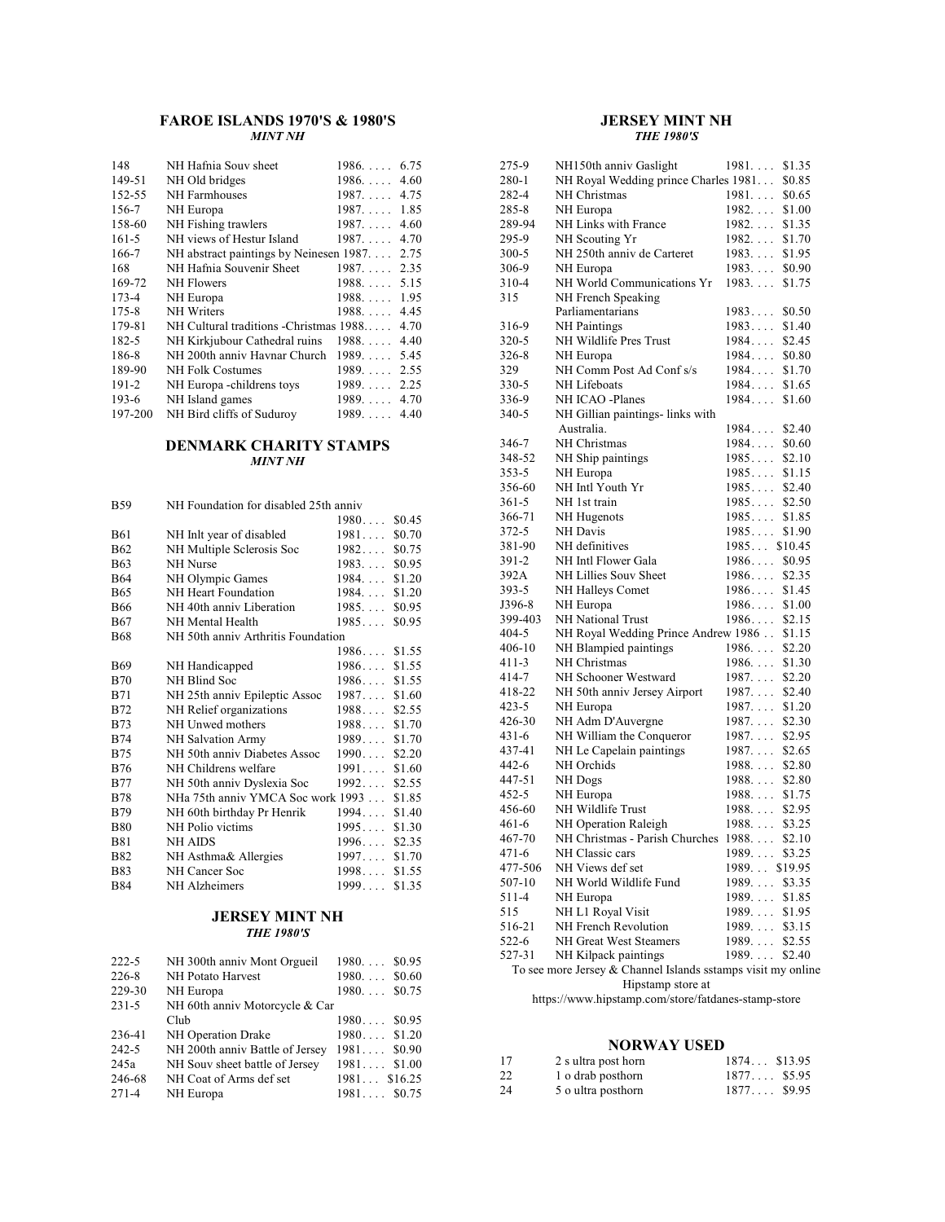## **FAROE ISLANDS 1970'S & 1980'S** *MINT NH*

| 148       | NH Hafnia Souv sheet                        | $1986$ 6.75            |
|-----------|---------------------------------------------|------------------------|
| 149-51    | NH Old bridges                              | $1986$ 4.60            |
| 152-55    | NH Farmhouses                               | $1987$ 4.75            |
| 156-7     | NH Europa                                   | $1987. \ldots$<br>1.85 |
| 158-60    | NH Fishing trawlers                         | $1987. \ldots$<br>4.60 |
| $161 - 5$ | NH views of Hestur Island                   | $1987. \ldots$<br>4.70 |
| 166-7     | NH abstract paintings by Neinesen 1987 2.75 |                        |
| 168       | NH Hafnia Souvenir Sheet                    | $1987$ 2.35            |
| 169-72    | <b>NH</b> Flowers                           | $1988$ 5.15            |
| 173-4     | NH Europa                                   | $1988$ 1.95            |
| $175 - 8$ | <b>NH</b> Writers                           | $1988$ 4.45            |
| 179-81    | NH Cultural traditions - Christmas 1988     | 4.70                   |
| 182-5     | NH Kirkjubour Cathedral ruins               | 4.40<br>$1988. \ldots$ |
| 186-8     | NH 200th anniv Havnar Church                | 1989<br>5.45           |
| 189-90    | <b>NH Folk Costumes</b>                     | 1989<br>2.55           |
| $191 - 2$ | NH Europa -childrens toys                   | $1989$ 2.25            |
| $193-6$   | NH Island games                             | $1989$ 4.70            |
| 197-200   | NH Bird cliffs of Suduroy                   | $1989$ 4.40            |

## **DENMARK CHARITY STAMPS** *MINT NH*

| <b>B59</b> | NH Foundation for disabled 25th anniv     |                |        |
|------------|-------------------------------------------|----------------|--------|
|            |                                           | $1980\ldots$   | \$0.45 |
| <b>B61</b> | NH Inlt year of disabled                  | 1981           | \$0.70 |
| <b>B62</b> | NH Multiple Sclerosis Soc                 | 1982           | \$0.75 |
| <b>B63</b> | <b>NH</b> Nurse                           | 1983           | \$0.95 |
| <b>B64</b> | NH Olympic Games                          | $1984. \ldots$ | \$1.20 |
| <b>B65</b> | NH Heart Foundation                       | $1984. \ldots$ | \$1.20 |
| <b>B66</b> | NH 40th anniv Liberation                  | 1985           | \$0.95 |
| <b>B67</b> | NH Mental Health                          | 1985           | \$0.95 |
| <b>B68</b> | NH 50th anniv Arthritis Foundation        |                |        |
|            |                                           | $1986$ \$1.55  |        |
| B69        | NH Handicapped                            | 1986           | \$1.55 |
| <b>B70</b> | NH Blind Soc                              | 1986.          | \$1.55 |
| <b>B71</b> | NH 25th anniv Epileptic Assoc             | 1987           | \$1.60 |
| <b>B72</b> | NH Relief organizations                   | 1988           | \$2.55 |
| <b>B73</b> | NH Unwed mothers                          | $1988$ \$1.70  |        |
| <b>B74</b> | NH Salvation Army                         | $1989$ \$1.70  |        |
| <b>B75</b> | NH 50th anniv Diabetes Assoc              | 1990           | \$2.20 |
| <b>B76</b> | NH Childrens welfare                      | 1991.          | \$1.60 |
| <b>B77</b> | NH 50th anniv Dyslexia Soc                | 1992           | \$2.55 |
| <b>B78</b> | NHa 75th anniv YMCA Soc work 1993  \$1.85 |                |        |
| <b>B79</b> | NH 60th birthday Pr Henrik                | $1994$ \$1.40  |        |
| <b>B80</b> | NH Polio victims                          | 1995           | \$1.30 |
| <b>B81</b> | NH AIDS                                   | $1996$ \$2.35  |        |
| <b>B82</b> | NH Asthma& Allergies                      | $1997$ \$1.70  |        |
| <b>B83</b> | NH Cancer Soc                             | $1998$ \$1.55  |        |
| <b>B84</b> | NH Alzheimers                             | 1999           | \$1.35 |

### **JERSEY MINT NH** *THE 1980'S*

| $222 - 5$<br>NH 300th anniv Mont Orgueil<br>$1980$ \$0.95     |  |
|---------------------------------------------------------------|--|
| $226 - 8$<br>$1980$ \$0.60<br>NH Potato Harvest               |  |
| 229-30<br>$1980$ \$0.75<br>NH Europa                          |  |
| $231 - 5$<br>NH 60th anniv Motorcycle & Car                   |  |
| $1980$ \$0.95<br>Club                                         |  |
| $1980$ \$1.20<br>NH Operation Drake<br>236-41                 |  |
| NH 200th anniv Battle of Jersey<br>$242 - 5$<br>$1981$ \$0.90 |  |
| NH Souv sheet battle of Jersey<br>$1981$ \$1.00<br>245a       |  |
| 246-68<br>NH Coat of Arms def set<br>$1981$ \$16.25           |  |
| $271 - 4$<br>$1981$ \$0.75<br>NH Europa                       |  |

## **JERSEY MINT NH** *THE 1980'S*

| 275-9                                                        | NH150th anniv Gaslight               | 1981.<br>\$1.35          |  |  |
|--------------------------------------------------------------|--------------------------------------|--------------------------|--|--|
| 280-1                                                        | NH Royal Wedding prince Charles 1981 | \$0.85                   |  |  |
| 282-4                                                        | NH Christmas                         | $1981. \ldots$<br>\$0.65 |  |  |
| 285-8                                                        | NH Europa                            | $1982. \ldots$<br>\$1.00 |  |  |
| 289-94                                                       | NH Links with France                 | 1982.<br>\$1.35          |  |  |
| 295-9                                                        | NH Scouting Yr                       | $1982. \ldots$<br>\$1.70 |  |  |
| 300-5                                                        | NH 250th anniv de Carteret           | 1983<br>\$1.95           |  |  |
| 306-9                                                        | NH Europa                            | $1983. \ldots$<br>\$0.90 |  |  |
| 310-4                                                        | NH World Communications Yr           | 1983<br>\$1.75           |  |  |
| 315                                                          | NH French Speaking                   |                          |  |  |
|                                                              | Parliamentarians                     | 1983<br>\$0.50           |  |  |
| 316-9                                                        | <b>NH</b> Paintings                  | 1983.<br>\$1.40          |  |  |
| 320-5                                                        | NH Wildlife Pres Trust               | 1984<br>\$2.45           |  |  |
| 326-8                                                        | NH Europa                            | 1984<br>\$0.80           |  |  |
| 329                                                          | NH Comm Post Ad Conf s/s             | 1984<br>\$1.70           |  |  |
| 330-5                                                        | NH Lifeboats                         | 1984<br>\$1.65           |  |  |
| 336-9                                                        | NH ICAO -Planes                      | 1984<br>\$1.60           |  |  |
|                                                              |                                      |                          |  |  |
| 340-5                                                        | NH Gillian paintings- links with     |                          |  |  |
|                                                              | Australia.                           | 1984.<br>\$2.40          |  |  |
| 346-7                                                        | NH Christmas                         | 1984<br>\$0.60           |  |  |
| 348-52                                                       | NH Ship paintings                    | 1985<br>\$2.10           |  |  |
| 353-5                                                        | NH Europa                            | 1985<br>\$1.15           |  |  |
| 356-60                                                       | NH Intl Youth Yr                     | 1985<br>\$2.40           |  |  |
| 361-5                                                        | NH 1st train                         | 1985<br>\$2.50           |  |  |
| 366-71                                                       | NH Hugenots                          | 1985<br>\$1.85           |  |  |
| 372-5                                                        | NH Davis                             | 1985<br>\$1.90           |  |  |
| 381-90                                                       | NH definitives                       | $1985$ \$10.45           |  |  |
| 391-2                                                        | NH Intl Flower Gala                  | 1986<br>\$0.95           |  |  |
| 392A                                                         | NH Lillies Souv Sheet                | 1986<br>\$2.35           |  |  |
| 393-5                                                        | NH Halleys Comet                     | 1986<br>\$1.45           |  |  |
| J396-8                                                       | NH Europa                            | 1986<br>\$1.00           |  |  |
| 399-403                                                      | <b>NH</b> National Trust             | 1986<br>\$2.15           |  |  |
| 404-5                                                        | NH Royal Wedding Prince Andrew 1986  | \$1.15                   |  |  |
| 406-10                                                       | NH Blampied paintings                | 1986.<br>\$2.20          |  |  |
| 411-3                                                        | NH Christmas                         | $1986. \ldots$<br>\$1.30 |  |  |
| 414-7                                                        | NH Schooner Westward                 | 1987.<br>\$2.20          |  |  |
| 418-22                                                       | NH 50th anniv Jersey Airport         | 1987.<br>\$2.40          |  |  |
| 423-5                                                        | NH Europa                            | 1987.<br>\$1.20          |  |  |
| 426-30                                                       | NH Adm D'Auvergne                    | 1987.<br>\$2.30          |  |  |
| 431-6                                                        | NH William the Conqueror             | $1987. \ldots$<br>\$2.95 |  |  |
| 437-41                                                       | NH Le Capelain paintings             | 1987.<br>\$2.65          |  |  |
| 442-6                                                        | NH Orchids                           | 1988<br>\$2.80           |  |  |
| 447-51                                                       | NH Dogs                              | 1988<br>\$2.80           |  |  |
| 452-5                                                        | NH Europa                            | 1988.<br>\$1.75          |  |  |
| 456-60                                                       | NH Wildlife Trust                    | 1988<br>\$2.95           |  |  |
| 461-6                                                        | NH Operation Raleigh                 | 1988.<br>\$3.25          |  |  |
| 467-70                                                       | NH Christmas - Parish Churches       | 1988.<br>\$2.10          |  |  |
| 471-6                                                        | NH Classic cars                      | $1989. \ldots$<br>\$3.25 |  |  |
| 477-506                                                      | NH Views def set                     | 1989 \$19.95             |  |  |
| 507-10                                                       | NH World Wildlife Fund               | 1989<br>\$3.35           |  |  |
| 511-4                                                        | NH Europa                            | 1989<br>\$1.85           |  |  |
| 515                                                          | NH L1 Royal Visit                    | 1989<br>\$1.95           |  |  |
| 516-21                                                       | NH French Revolution                 | 1989<br>\$3.15           |  |  |
| 522-6                                                        | NH Great West Steamers               | $1989. \ldots$<br>\$2.55 |  |  |
| 527-31                                                       | NH Kilpack paintings                 | 1989<br>\$2.40           |  |  |
| To see more Jersey & Channel Islands sstamps visit my online |                                      |                          |  |  |
|                                                              |                                      |                          |  |  |
| Hipstamp store at                                            |                                      |                          |  |  |

https://www.hipstamp.com/store/fatdanes-stamp-store

# **NORWAY USED**

| NUKWAY USED |                     |                |  |  |
|-------------|---------------------|----------------|--|--|
| - 17        | 2 s ultra post horn | $1874$ \$13.95 |  |  |
| 22          | 1 o drab posthorn   | $1877$ \$5.95  |  |  |
| 24          | 5 o ultra posthorn  | $1877$ \$9.95  |  |  |